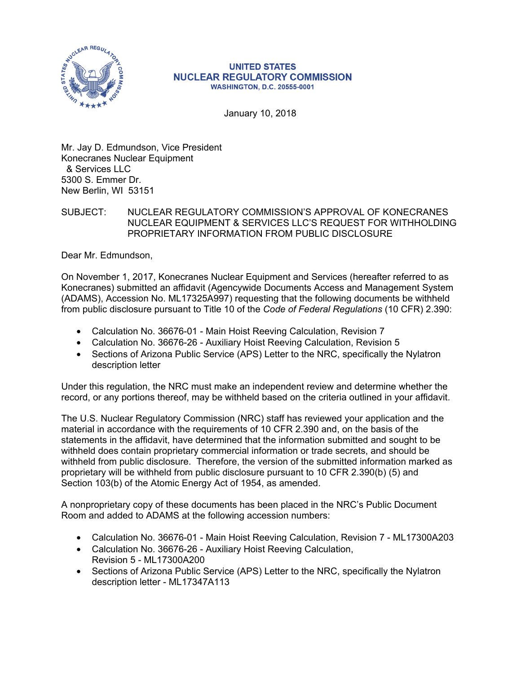

### **UNITED STATES NUCLEAR REGULATORY COMMISSION WASHINGTON, D.C. 20555-0001**

January 10, 2018

Mr. Jay D. Edmundson, Vice President Konecranes Nuclear Equipment & Services LLC 5300 S. Emmer Dr. New Berlin, WI 53151

## SUBJECT: NUCLEAR REGULATORY COMMISSION'S APPROVAL OF KONECRANES NUCLEAR EQUIPMENT & SERVICES LLC'S REQUEST FOR WITHHOLDING PROPRIETARY INFORMATION FROM PUBLIC DISCLOSURE

Dear Mr. Edmundson,

On November 1, 2017, Konecranes Nuclear Equipment and Services (hereafter referred to as Konecranes) submitted an affidavit (Agencywide Documents Access and Management System (ADAMS), Accession No. ML17325A997) requesting that the following documents be withheld from public disclosure pursuant to Title 10 of the *Code of Federal Regulations* (10 CFR) 2.390:

- Calculation No. 36676-01 Main Hoist Reeving Calculation, Revision 7
- Calculation No. 36676-26 Auxiliary Hoist Reeving Calculation, Revision 5
- Sections of Arizona Public Service (APS) Letter to the NRC, specifically the Nylatron description letter

Under this regulation, the NRC must make an independent review and determine whether the record, or any portions thereof, may be withheld based on the criteria outlined in your affidavit.

The U.S. Nuclear Regulatory Commission (NRC) staff has reviewed your application and the material in accordance with the requirements of 10 CFR 2.390 and, on the basis of the statements in the affidavit, have determined that the information submitted and sought to be withheld does contain proprietary commercial information or trade secrets, and should be withheld from public disclosure. Therefore, the version of the submitted information marked as proprietary will be withheld from public disclosure pursuant to 10 CFR 2.390(b) (5) and Section 103(b) of the Atomic Energy Act of 1954, as amended.

A nonproprietary copy of these documents has been placed in the NRC's Public Document Room and added to ADAMS at the following accession numbers:

- Calculation No. 36676-01 Main Hoist Reeving Calculation, Revision 7 ML17300A203
- Calculation No. 36676-26 Auxiliary Hoist Reeving Calculation, Revision 5 - ML17300A200
- Sections of Arizona Public Service (APS) Letter to the NRC, specifically the Nylatron description letter - ML17347A113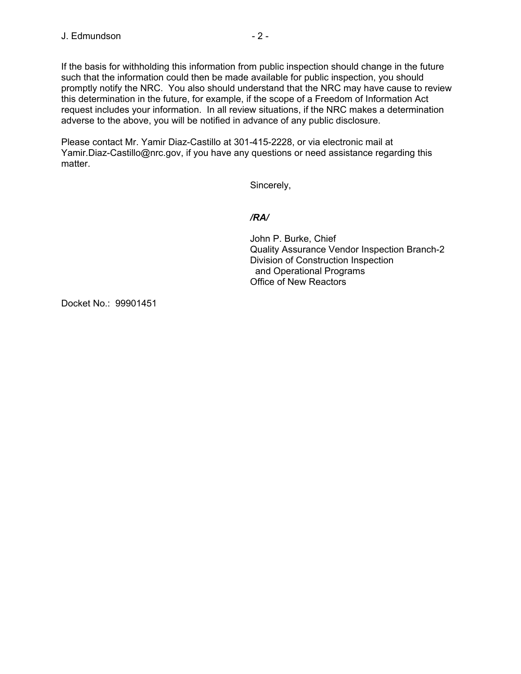If the basis for withholding this information from public inspection should change in the future such that the information could then be made available for public inspection, you should promptly notify the NRC. You also should understand that the NRC may have cause to review this determination in the future, for example, if the scope of a Freedom of Information Act request includes your information. In all review situations, if the NRC makes a determination adverse to the above, you will be notified in advance of any public disclosure.

Please contact Mr. Yamir Diaz-Castillo at 301-415-2228, or via electronic mail at Yamir.Diaz-Castillo@nrc.gov, if you have any questions or need assistance regarding this matter.

Sincerely,

# */RA/*

John P. Burke, Chief Quality Assurance Vendor Inspection Branch-2 Division of Construction Inspection and Operational Programs Office of New Reactors

Docket No.: 99901451